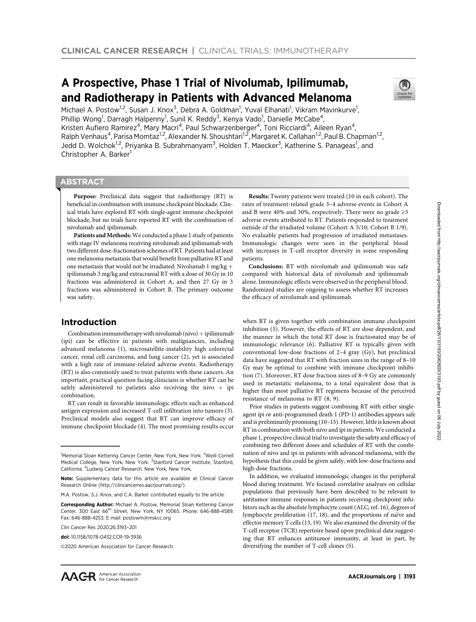# A Prospective, Phase 1 Trial of Nivolumab, Ipilimumab, and Radiotherapy in Patients with Advanced Melanoma



Michael A. Postow<sup>1,2</sup>, Susan J. Knox<sup>3</sup>, Debra A. Goldman<sup>1</sup>, Yuval Elhanati<sup>1</sup>, Vikram Mavinkurve<sup>1</sup>, Phillip Wong<sup>1</sup>, Darragh Halpenny<sup>1</sup>, Sunil K. Reddy<sup>3</sup>, Kenya Vado<sup>1</sup>, Danielle McCabe<sup>4</sup>, Kristen Aufiero Ramirez<sup>4</sup>, Mary Macri<sup>4</sup>, Paul Schwarzenberger<sup>4</sup>, Toni Ricciardi<sup>4</sup>, Aileen Ryan<sup>4</sup>, Ralph Venhaus<sup>4</sup>, Parisa Momtaz<sup>1,2</sup>, Alexander N. Shoushtari<sup>1,2</sup>, Margaret K. Callahan<sup>1,2</sup>, Paul B. Chapman<sup>1,2</sup>, Jedd D. Wolchok<sup>1,2</sup>, Priyanka B. Subrahmanyam<sup>3</sup>, Holden T. Maecker<sup>3</sup>, Katherine S. Panageas<sup>1</sup>, and Christopher A. Barker<sup>1</sup>

## **ABSTRACT**

◥

Purpose: Preclinical data suggest that radiotherapy (RT) is beneficial in combination with immune checkpoint blockade. Clinical trials have explored RT with single-agent immune checkpoint blockade, but no trials have reported RT with the combination of nivolumab and ipilimumab.

Patients and Methods: We conducted a phase 1 study of patients with stage IV melanoma receiving nivolumab and ipilimumab with two different dose-fractionation schemes of RT. Patients had at least one melanoma metastasis that would benefit from palliative RT and one metastasis that would not be irradiated. Nivolumab 1 mg/kg  $+$ ipilimumab 3 mg/kg and extracranial RT with a dose of 30 Gy in 10 fractions was administered in Cohort A, and then 27 Gy in 3 fractions was administered in Cohort B. The primary outcome was safety.

## Introduction

Combination immunotherapy with nivolumab (nivo)  $+$  ipilimumab (ipi) can be effective in patients with malignancies, including advanced melanoma (1), microsatellite-instability high colorectal cancer, renal cell carcinoma, and lung cancer (2), yet is associated with a high rate of immune-related adverse events. Radiotherapy (RT) is also commonly used to treat patients with these cancers. An important, practical question facing clinicians is whether RT can be safely administered to patients also receiving the nivo  $+$  ipi combination.

RT can result in favorable immunologic effects such as enhanced antigen expression and increased T-cell infiltration into tumors (3). Preclinical models also suggest that RT can improve efficacy of immune checkpoint blockade (4). The most promising results occur

Results: Twenty patients were treated (10 in each cohort). The rates of treatment-related grade 3–4 adverse events in Cohort A and B were 40% and 30%, respectively. There were no grade ≥3 adverse events attributed to RT. Patients responded to treatment outside of the irradiated volume (Cohort A 5/10; Cohort B 1/9). No evaluable patients had progression of irradiated metastases. Immunologic changes were seen in the peripheral blood with increases in T-cell receptor diversity in some responding patients.

Conclusions: RT with nivolumab and ipilimumab was safe compared with historical data of nivolumab and ipilimumab alone. Immunologic effects were observed in the peripheral blood. Randomized studies are ongoing to assess whether RT increases the efficacy of nivolumab and ipilimumab.

when RT is given together with combination immune checkpoint inhibition (5). However, the effects of RT are dose dependent, and the manner in which the total RT dose is fractionated may be of immunologic relevance (6). Palliative RT is typically given with conventional low-dose fractions of 2–4 gray (Gy), but preclinical data have suggested that RT with fraction sizes in the range of 8–10 Gy may be optimal to combine with immune checkpoint inhibition (7). Moreover, RT dose fraction sizes of 8–9 Gy are commonly used in metastatic melanoma, to a total equivalent dose that is higher than most palliative RT regimens because of the perceived resistance of melanoma to RT (8, 9).

Prior studies in patients suggest combining RT with either singleagent ipi or anti-programmed death 1 (PD-1) antibodies appears safe and is preliminarily promising (10–15). However, little is known about RT in combination with both nivo and ipi in patients. We conducted a phase 1, prospective clinical trial to investigate the safety and efficacy of combining two different doses and schedules of RT with the combination of nivo and ipi in patients with advanced melanoma, with the hypothesis that this could be given safely, with low-dose fractions and high-dose fractions.

In addition, we evaluated immunologic changes in the peripheral blood during treatment. We focused correlative analyses on cellular populations that previously have been described to be relevant to antitumor immune responses in patients receiving checkpoint inhibitors such as the absolute lymphocyte count (ALC; ref. 16), degrees of lymphocyte proliferation (17, 18), and the proportions of naïve and effector memory T cells (13, 19). We also examined the diversity of the T-cell receptor (TCR) repertoire based upon preclinical data suggesting that RT enhances antitumor immunity, at least in part, by diversifying the number of T-cell clones (5).

<sup>&</sup>lt;sup>1</sup>Memorial Sloan Kettering Cancer Center, New York, New York. <sup>2</sup>Weill Cornell Medical College, New York, New York. <sup>3</sup>Stanford Cancer Institute, Stanford, California. <sup>4</sup> Ludwig Cancer Research, New York, New York.

Note: Supplementary data for this article are available at Clinical Cancer Research Online (http://clincancerres.aacrjournals.org/).

M.A. Postow, S.J. Knox, and C.A. Barker contributed equally to the article.

Corresponding Author: Michael A. Postow, Memorial Sloan Kettering Cancer Center, 300 East 66<sup>th</sup> Street, New York, NY 10065, Phone: 646-888-4589: Fax: 646-888-4253; E-mail: postowm@mskcc.org

Clin Cancer Res 2020;26:3193–201

doi: 10.1158/1078-0432.CCR-19-3936

<sup>2020</sup> American Association for Cancer Research.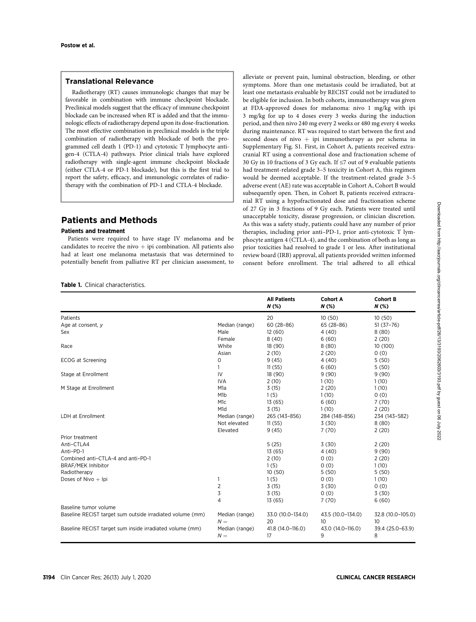## Translational Relevance

Radiotherapy (RT) causes immunologic changes that may be favorable in combination with immune checkpoint blockade. Preclinical models suggest that the efficacy of immune checkpoint blockade can be increased when RT is added and that the immunologic effects of radiotherapy depend upon its dose-fractionation. The most effective combination in preclinical models is the triple combination of radiotherapy with blockade of both the programmed cell death 1 (PD-1) and cytotoxic T lymphocyte antigen-4 (CTLA-4) pathways. Prior clinical trials have explored radiotherapy with single-agent immune checkpoint blockade (either CTLA-4 or PD-1 blockade), but this is the first trial to report the safety, efficacy, and immunologic correlates of radiotherapy with the combination of PD-1 and CTLA-4 blockade.

## Patients and Methods

## Patients and treatment

Patients were required to have stage IV melanoma and be candidates to receive the nivo  $+$  ipi combination. All patients also had at least one melanoma metastasis that was determined to potentially benefit from palliative RT per clinician assessment, to

Table 1. Clinical characteristics.

alleviate or prevent pain, luminal obstruction, bleeding, or other symptoms. More than one metastasis could be irradiated, but at least one metastasis evaluable by RECIST could not be irradiated to be eligible for inclusion. In both cohorts, immunotherapy was given at FDA-approved doses for melanoma: nivo 1 mg/kg with ipi 3 mg/kg for up to 4 doses every 3 weeks during the induction period, and then nivo 240 mg every 2 weeks or 480 mg every 4 weeks during maintenance. RT was required to start between the first and second doses of nivo  $+$  ipi immunotherapy as per schema in Supplementary Fig. S1. First, in Cohort A, patients received extracranial RT using a conventional dose and fractionation scheme of 30 Gy in 10 fractions of 3 Gy each. If ≤7 out of 9 evaluable patients had treatment-related grade 3–5 toxicity in Cohort A, this regimen would be deemed acceptable. If the treatment-related grade 3–5 adverse event (AE) rate was acceptable in Cohort A, Cohort B would subsequently open. Then, in Cohort B, patients received extracranial RT using a hypofractionated dose and fractionation scheme of 27 Gy in 3 fractions of 9 Gy each. Patients were treated until unacceptable toxicity, disease progression, or clinician discretion. As this was a safety study, patients could have any number of prior therapies, including prior anti–PD-1, prior anti-cytotoxic T lymphocyte antigen 4 (CTLA-4), and the combination of both as long as prior toxicities had resolved to grade 1 or less. After institutional review board (IRB) approval, all patients provided written informed consent before enrollment. The trial adhered to all ethical

|                                                           |                         | <b>All Patients</b><br>$N$ (%) | <b>Cohort A</b><br>$N$ (%) | <b>Cohort B</b><br>N(%) |
|-----------------------------------------------------------|-------------------------|--------------------------------|----------------------------|-------------------------|
| Patients                                                  |                         | 20                             | 10(50)                     | 10(50)                  |
| Age at consent, y                                         | Median (range)          | $60(28-86)$                    | $65(28-86)$                | $51(37-76)$             |
| Sex                                                       | Male                    | 12(60)                         | 4(40)                      | 8(80)                   |
|                                                           | Female                  | 8(40)                          | 6(60)                      | 2(20)                   |
| Race                                                      | White                   | 18 (90)                        | 8(80)                      | 10 (100)                |
|                                                           | Asian                   | 2(10)                          | 2(20)                      | 0(0)                    |
| ECOG at Screening                                         | $\mathbf 0$             | 9(45)                          | 4(40)                      | 5(50)                   |
|                                                           | 1                       | 11(55)                         | 6(60)                      | 5(50)                   |
| Stage at Enrollment                                       | IV                      | 18 (90)                        | 9(90)                      | 9(90)                   |
|                                                           | <b>IVA</b>              | 2(10)                          | 1(10)                      | 1(10)                   |
| M Stage at Enrollment                                     | M <sub>1</sub> a        | 3(15)                          | 2(20)                      | 1(10)                   |
|                                                           | M <sub>1</sub> b        | 1(5)                           | 1(10)                      | 0(0)                    |
|                                                           | M <sub>1</sub> c        | 13(65)                         | 6(60)                      | 7(70)                   |
|                                                           | M <sub>1</sub> d        | 3(15)                          | 1(10)                      | 2(20)                   |
| <b>LDH</b> at Enrollment                                  | Median (range)          | 265 (143-856)                  | 284 (148-856)              | 234 (143-582)           |
|                                                           | Not elevated            | 11(55)                         | 3(30)                      | 8(80)                   |
|                                                           | Elevated                | 9(45)                          | 7(70)                      | 2(20)                   |
| Prior treatment                                           |                         |                                |                            |                         |
| Anti-CTLA4                                                |                         | 5(25)                          | 3(30)                      | 2(20)                   |
| Anti-PD-1                                                 |                         | 13(65)                         | 4(40)                      | 9(90)                   |
| Combined anti-CTLA-4 and anti-PD-1                        |                         | 2(10)                          | 0(0)                       | 2(20)                   |
| <b>BRAF/MEK Inhibitor</b>                                 |                         | 1(5)                           | 0(0)                       | 1(10)                   |
| Radiotherapy                                              |                         | 10(50)                         | 5(50)                      | 5(50)                   |
| Doses of Nivo $+$ Ipi                                     | 1                       | 1(5)                           | 0(0)                       | 1(10)                   |
|                                                           | $\overline{2}$          | 3(15)                          | 3(30)                      | 0(0)                    |
|                                                           | 3                       | 3(15)                          | 0(0)                       | 3(30)                   |
|                                                           | 4                       | 13(65)                         | 7(70)                      | 6(60)                   |
| Baseline tumor volume                                     |                         |                                |                            |                         |
| Baseline RECIST target sum outside irradiated volume (mm) | Median (range)<br>$N =$ | 33.0 (10.0-134.0)<br>20        | 43.5 (10.0-134.0)<br>10    | 32.8 (10.0-105.0)<br>10 |
| Baseline RECIST target sum inside irradiated volume (mm)  | Median (range)<br>$N =$ | 41.8 (14.0-116.0)<br>17        | 43.0 (14.0-116.0)<br>9     | 39.4 (25.0-63.9)<br>8   |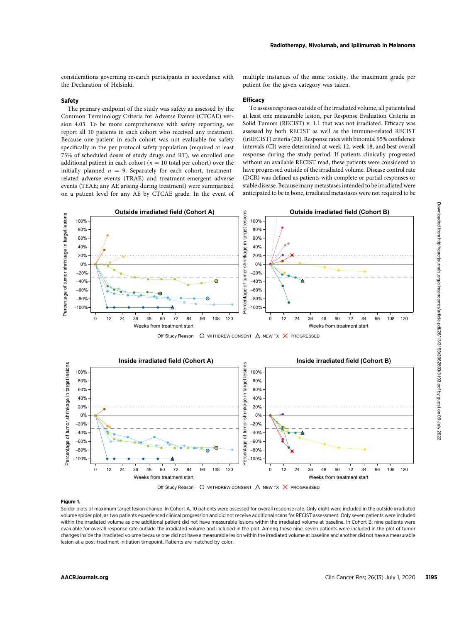considerations governing research participants in accordance with the Declaration of Helsinki.

#### Safety

The primary endpoint of the study was safety as assessed by the Common Terminology Criteria for Adverse Events (CTCAE) version 4.03. To be more comprehensive with safety reporting, we report all 10 patients in each cohort who received any treatment. Because one patient in each cohort was not evaluable for safety specifically in the per protocol safety population (required at least 75% of scheduled doses of study drugs and RT), we enrolled one additional patient in each cohort ( $n = 10$  total per cohort) over the initially planned  $n = 9$ . Separately for each cohort, treatmentrelated adverse events (TRAE) and treatment-emergent adverse events (TEAE; any AE arising during treatment) were summarized on a patient level for any AE by CTCAE grade. In the event of multiple instances of the same toxicity, the maximum grade per patient for the given category was taken.

#### **Efficacy**

To assess responses outside of the irradiated volume, all patients had at least one measurable lesion, per Response Evaluation Criteria in Solid Tumors (RECIST) v. 1.1 that was not irradiated. Efficacy was assessed by both RECIST as well as the immune-related RECIST (irRECIST) criteria (20). Response rates with binomial 95% confidence intervals (CI) were determined at week 12, week 18, and best overall response during the study period. If patients clinically progressed without an available RECIST read, these patients were considered to have progressed outside of the irradiated volume. Disease control rate (DCR) was defined as patients with complete or partial responses or stable disease. Because many metastases intended to be irradiated were anticipated to be in bone, irradiated metastases were not required to be



Off Study Reason  $\circ$  WITHDREW CONSENT  $\Delta$  NEW TX  $\times$  PROGRESSED



## Figure 1.

Spider plots of maximum target lesion change. In Cohort A, 10 patients were assessed for overall response rate. Only eight were included in the outside irradiated volume spider plot, as two patients experienced clinical progression and did not receive additional scans for RECIST assessment. Only seven patients were included within the irradiated volume as one additional patient did not have measurable lesions within the irradiated volume at baseline. In Cohort B, nine patients were evaluable for overall response rate outside the irradiated volume and included in the plot. Among these nine, seven patients were included in the plot of tumor changes inside the irradiated volume because one did not have a measurable lesion within the irradiated volume at baseline and another did not have a measurable lesion at a post-treatment initiation timepoint. Patients are matched by color.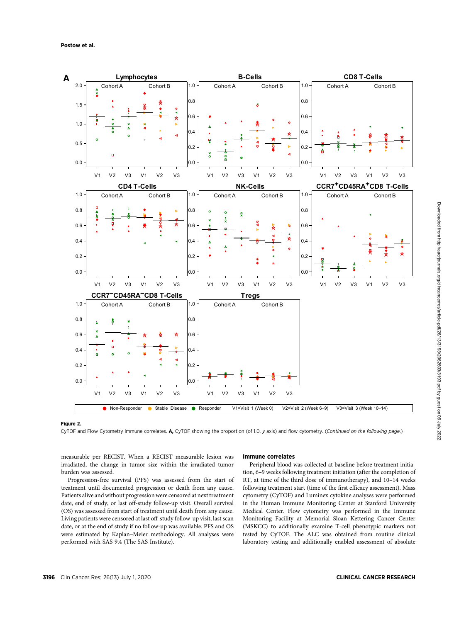

## Figure 2.

CyTOF and Flow Cytometry immune correlates. A, CyTOF showing the proportion (of 1.0, y axis) and flow cytometry. (Continued on the following page.)

measurable per RECIST. When a RECIST measurable lesion was irradiated, the change in tumor size within the irradiated tumor burden was assessed.

Progression-free survival (PFS) was assessed from the start of treatment until documented progression or death from any cause. Patients alive and without progression were censored at next treatment date, end of study, or last off-study follow-up visit. Overall survival (OS) was assessed from start of treatment until death from any cause. Living patients were censored at last off-study follow-up visit, last scan date, or at the end of study if no follow-up was available. PFS and OS were estimated by Kaplan–Meier methodology. All analyses were performed with SAS 9.4 (The SAS Institute).

## Immune correlates

Peripheral blood was collected at baseline before treatment initiation, 6–9 weeks following treatment initiation (after the completion of RT, at time of the third dose of immunotherapy), and 10–14 weeks following treatment start (time of the first efficacy assessment). Mass cytometry (CyTOF) and Luminex cytokine analyses were performed in the Human Immune Monitoring Center at Stanford University Medical Center. Flow cytometry was performed in the Immune Monitoring Facility at Memorial Sloan Kettering Cancer Center (MSKCC) to additionally examine T-cell phenotypic markers not tested by CyTOF. The ALC was obtained from routine clinical laboratory testing and additionally enabled assessment of absolute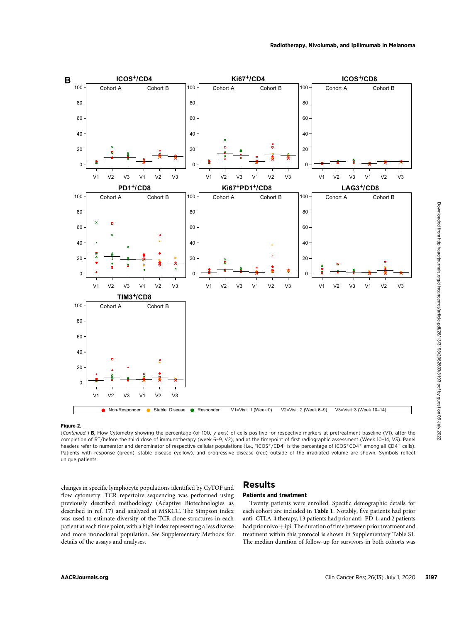

## Figure 2.

(Continued.) B, Flow Cytometry showing the percentage (of 100, y axis) of cells positive for respective markers at pretreatment baseline (V1), after the completion of RT/before the third dose of immunotherapy (week 6–9, V2), and at the timepoint of first radiographic assessment (Week 10–14, V3). Panel headers refer to numerator and denominator of respective cellular populations (i.e., "ICOS+/CD4" is the percentage of ICOS+CD4+ among all CD4+ cells). Patients with response (green), stable disease (yellow), and progressive disease (red) outside of the irradiated volume are shown. Symbols reflect unique patients.

changes in specific lymphocyte populations identified by CyTOF and flow cytometry. TCR repertoire sequencing was performed using previously described methodology (Adaptive Biotechnologies as described in ref. 17) and analyzed at MSKCC. The Simpson index was used to estimate diversity of the TCR clone structures in each patient at each time point, with a high index representing a less diverse and more monoclonal population. See Supplementary Methods for details of the assays and analyses.

## Results

## Patients and treatment

Twenty patients were enrolled. Specific demographic details for each cohort are included in Table 1. Notably, five patients had prior anti–CTLA-4 therapy, 13 patients had prior anti–PD-1, and 2 patients had prior nivo  $+$  ipi. The duration of time between prior treatment and treatment within this protocol is shown in Supplementary Table S1. The median duration of follow-up for survivors in both cohorts was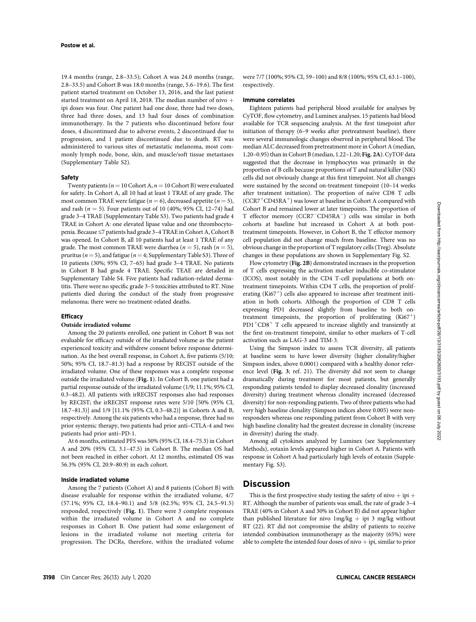19.4 months (range, 2.8–33.5); Cohort A was 24.0 months (range, 2.8–33.5) and Cohort B was 18.0 months (range, 5.6–19.6). The first patient started treatment on October 13, 2016, and the last patient started treatment on April 18, 2018. The median number of nivo  $+$ ipi doses was four. One patient had one dose, three had two doses, three had three doses, and 13 had four doses of combination immunotherapy. In the 7 patients who discontinued before four doses, 4 discontinued due to adverse events, 2 discontinued due to progression, and 1 patient discontinued due to death. RT was administered to various sites of metastatic melanoma, most commonly lymph node, bone, skin, and muscle/soft tissue metastases (Supplementary Table S2).

## Safety

Twenty patients ( $n = 10$  Cohort A,  $n = 10$  Cohort B) were evaluated for safety. In Cohort A, all 10 had at least 1 TRAE of any grade. The most common TRAE were fatigue ( $n = 6$ ), decreased appetite ( $n = 5$ ), and rash ( $n = 5$ ). Four patients out of 10 (40%; 95% CI, 12–74) had grade 3–4 TRAE (Supplementary Table S3). Two patients had grade 4 TRAE in Cohort A: one elevated lipase value and one thrombocytopenia. Because ≤7 patients had grade 3–4 TRAE in Cohort A, Cohort B was opened. In Cohort B, all 10 patients had at least 1 TRAE of any grade. The most common TRAE were diarrhea ( $n = 5$ ), rash ( $n = 5$ ), pruritus ( $n = 5$ ), and fatigue ( $n = 4$ ; Supplementary Table S3). Three of 10 patients (30%; 95% CI, 7–65) had grade 3–4 TRAE. No patients in Cohort B had grade 4 TRAE. Specific TEAE are detailed in Supplementary Table S4. Five patients had radiation-related dermatitis. There were no specific grade 3–5 toxicities attributed to RT. Nine patients died during the conduct of the study from progressive melanoma; there were no treatment-related deaths.

## **Efficacy**

## Outside irradiated volume

Among the 20 patients enrolled, one patient in Cohort B was not evaluable for efficacy outside of the irradiated volume as the patient experienced toxicity and withdrew consent before response determination. As the best overall response, in Cohort A, five patients (5/10; 50%; 95% CI, 18.7–81.3) had a response by RECIST outside of the irradiated volume. One of these responses was a complete response outside the irradiated volume (Fig. 1). In Cohort B, one patient had a partial response outside of the irradiated volume (1/9; 11.1%; 95% CI, 0.3–48.2). All patients with irRECIST responses also had responses by RECIST; the irRECIST response rates were 5/10 [50% (95% CI, 18.7–81.3)] and 1/9 [11.1% (95% CI, 0.3–48.2)] in Cohorts A and B, respectively. Among the six patients who had a response, three had no prior systemic therapy, two patients had prior anti–CTLA-4 and two patients had prior anti–PD-1.

At 6 months, estimated PFS was 50% (95% CI, 18.4–75.3) in Cohort A and 20% (95% CI, 3.1–47.5) in Cohort B. The median OS had not been reached in either cohort. At 12 months, estimated OS was 56.3% (95% CI, 20.9–80.9) in each cohort.

#### Inside irradiated volume

Among the 7 patients (Cohort A) and 8 patients (Cohort B) with disease evaluable for response within the irradiated volume, 4/7 (57.1%; 95% CI, 18.4–90.1) and 5/8 (62.5%; 95% CI, 24.5–91.5) responded, respectively (Fig. 1). There were 3 complete responses within the irradiated volume in Cohort A and no complete responses in Cohort B. One patient had some enlargement of lesions in the irradiated volume not meeting criteria for progression. The DCRs, therefore, within the irradiated volume were 7/7 (100%; 95% CI, 59–100) and 8/8 (100%; 95% CI, 63.1–100), respectively.

## Immune correlates

Eighteen patients had peripheral blood available for analyses by CyTOF, flow cytometry, and Luminex analyses. 15 patients had blood available for TCR sequencing analysis. At the first timepoint after initiation of therapy (6–9 weeks after pretreatment baseline), there were several immunologic changes observed in peripheral blood. The median ALC decreased from pretreatment more in Cohort A (median, 1.20–0.95) than in Cohort B (median, 1.22–1.20; Fig. 2A). CyTOF data suggested that the decrease in lymphocytes was primarily in the proportion of B cells because proportions of T and natural killer (NK) cells did not obviously change at this first timepoint. Not all changes were sustained by the second on-treatment timepoint (10–14 weeks after treatment initiation). The proportion of naïve CD8 T cells  $(CCR7+CD45RA^+)$  was lower at baseline in Cohort A compared with Cohort B and remained lower at later timepoints. The proportion of T effector memory (CCR7<sup>-</sup>CD45RA<sup>-</sup>) cells was similar in both cohorts at baseline but increased in Cohort A at both posttreatment timepoints. However, in Cohort B, the T effector memory cell population did not change much from baseline. There was no obvious change in the proportion of T regulatory cells (Treg). Absolute changes in these populations are shown in Supplementary Fig. S2.

Flow cytometry (Fig. 2B) demonstrated increases in the proportion of T cells expressing the activation marker inducible co-stimulator (ICOS), most notably in the CD4 T-cell populations at both ontreatment timepoints. Within CD4 T cells, the proportion of proliferating (Ki67<sup>+</sup>) cells also appeared to increase after treatment initiation in both cohorts. Although the proportion of CD8 T cells expressing PD1 decreased slightly from baseline to both ontreatment timepoints, the proportion of proliferating  $(Ki67<sup>+</sup>)$  $PDI<sup>+</sup>CD8<sup>+</sup>$  T cells appeared to increase slightly and transiently at the first on-treatment timepoint, similar to other markers of T-cell activation such as LAG-3 and TIM-3.

Using the Simpson index to assess TCR diversity, all patients at baseline seem to have lower diversity (higher clonality/higher Simpson index, above 0.0001) compared with a healthy donor reference level (Fig. 3; ref. 21). The diversity did not seem to change dramatically during treatment for most patients, but generally responding patients tended to display decreased clonality (increased diversity) during treatment whereas clonality increased (decreased diversity) for non-responding patients. Two of three patients who had very high baseline clonality (Simpson indices above 0.005) were nonresponders whereas one responding patient from Cohort B with very high baseline clonality had the greatest decrease in clonality (increase in diversity) during the study.

Among all cytokines analyzed by Luminex (see Supplementary Methods), eotaxin levels appeared higher in Cohort A. Patients with response in Cohort A had particularly high levels of eotaxin (Supplementary Fig. S3).

## **Discussion**

This is the first prospective study testing the safety of nivo  $+$  ipi  $+$ RT. Although the number of patients was small, the rate of grade 3–4 TRAE (40% in Cohort A and 30% in Cohort B) did not appear higher than published literature for nivo  $1 \text{mg/kg} + \text{ipi} 3 \text{mg/kg}$  without RT (22). RT did not compromise the ability of patients to receive intended combination immunotherapy as the majority (65%) were able to complete the intended four doses of nivo  $+$  ipi, similar to prior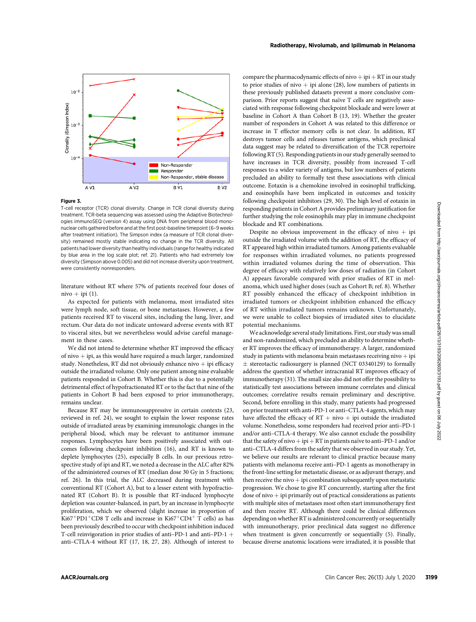

## Figure 3.

T-cell receptor (TCR) clonal diversity. Change in TCR clonal diversity during treatment. TCR-beta sequencing was assessed using the Adaptive Biotechnologies immunoSEQ (version 4) assay using DNA from peripheral blood mononuclear cells gathered before and at the first post-baseline timepoint (6–9 weeks after treatment initiation). The Simpson index (a measure of TCR clonal diversity) remained mostly stable indicating no change in the TCR diversity. All patients had lower diversity than healthy individuals (range for healthy indicated by blue area in the log scale plot; ref. 21). Patients who had extremely low diversity (Simpson above 0.005) and did not increase diversity upon treatment, were consistently nonresponders.

literature without RT where 57% of patients received four doses of nivo + ipi  $(1)$ .

As expected for patients with melanoma, most irradiated sites were lymph node, soft tissue, or bone metastases. However, a few patients received RT to visceral sites, including the lung, liver, and rectum. Our data do not indicate untoward adverse events with RT to visceral sites, but we nevertheless would advise careful management in these cases.

We did not intend to determine whether RT improved the efficacy of nivo  $+$  ipi, as this would have required a much larger, randomized study. Nonetheless, RT did not obviously enhance nivo  $+$  ipi efficacy outside the irradiated volume. Only one patient among nine evaluable patients responded in Cohort B. Whether this is due to a potentially detrimental effect of hypofractionated RT or to the fact that nine of the patients in Cohort B had been exposed to prior immunotherapy, remains unclear.

Because RT may be immunosuppressive in certain contexts (23, reviewed in ref. 24), we sought to explain the lower response rates outside of irradiated areas by examining immunologic changes in the peripheral blood, which may be relevant to antitumor immune responses. Lymphocytes have been positively associated with outcomes following checkpoint inhibition (16), and RT is known to deplete lymphocytes (25), especially B cells. In our previous retrospective study of ipi and RT, we noted a decrease in the ALC after 82% of the administered courses of RT (median dose 30 Gy in 5 fractions; ref. 26). In this trial, the ALC decreased during treatment with conventional RT (Cohort A), but to a lesser extent with hypofractionated RT (Cohort B). It is possible that RT-induced lymphocyte depletion was counter-balanced, in part, by an increase in lymphocyte proliferation, which we observed (slight increase in proportion of Ki67<sup>+</sup>PD1<sup>+</sup>CD8 T cells and increase in Ki67<sup>+</sup>CD4<sup>+</sup> T cells) as has been previously described to occur with checkpoint inhibition induced T-cell reinvigoration in prior studies of anti-PD-1 and anti-PD-1 + anti–CTLA-4 without RT (17, 18, 27, 28). Although of interest to compare the pharmacodynamic effects of nivo  $+$  ipi  $+$  RT in our study to prior studies of nivo  $+$  ipi alone (28), low numbers of patients in these previously published datasets prevent a more conclusive comparison. Prior reports suggest that naïve T cells are negatively associated with response following checkpoint blockade and were lower at baseline in Cohort A than Cohort B (13, 19). Whether the greater number of responders in Cohort A was related to this difference or increase in T effector memory cells is not clear. In addition, RT destroys tumor cells and releases tumor antigens, which preclinical data suggest may be related to diversification of the TCR repertoire following RT (5). Responding patients in our study generally seemed to have increases in TCR diversity, possibly from increased T-cell responses to a wider variety of antigens, but low numbers of patients precluded an ability to formally test these associations with clinical outcome. Eotaxin is a chemokine involved in eosinophil trafficking, and eosinophils have been implicated in outcomes and toxicity following checkpoint inhibitors (29, 30). The high level of eotaxin in responding patients in Cohort A provides preliminary justification for further studying the role eosinophils may play in immune checkpoint blockade and RT combinations.

Despite no obvious improvement in the efficacy of nivo  $+$  ipi outside the irradiated volume with the addition of RT, the efficacy of RT appeared high within irradiated tumors. Among patients evaluable for responses within irradiated volumes, no patients progressed within irradiated volumes during the time of observation. This degree of efficacy with relatively low doses of radiation (in Cohort A) appears favorable compared with prior studies of RT in melanoma, which used higher doses (such as Cohort B; ref. 8). Whether RT possibly enhanced the efficacy of checkpoint inhibition in irradiated tumors or checkpoint inhibition enhanced the efficacy of RT within irradiated tumors remains unknown. Unfortunately, we were unable to collect biopsies of irradiated sites to elucidate potential mechanisms.

We acknowledge several study limitations. First, our study was small and non-randomized, which precluded an ability to determine whether RT improves the efficacy of immunotherapy. A larger, randomized study in patients with melanoma brain metastases receiving nivo  $+$  ipi  $\pm$  stereotactic radiosurgery is planned (NCT 03340129) to formally address the question of whether intracranial RT improves efficacy of immunotherapy (31). The small size also did not offer the possibility to statistically test associations between immune correlates and clinical outcomes; correlative results remain preliminary and descriptive. Second, before enrolling in this study, many patients had progressed on prior treatment with anti–PD-1 or anti–CTLA-4 agents, which may have affected the efficacy of  $RT + nivo + ipi$  outside the irradiated volume. Nonetheless, some responders had received prior anti–PD-1 and/or anti–CTLA-4 therapy. We also cannot exclude the possibility that the safety of nivo + ipi + RT in patients naïve to anti–PD-1 and/or anti–CTLA-4 differs from the safety that we observed in our study. Yet, we believe our results are relevant to clinical practice because many patients with melanoma receive anti–PD-1 agents as monotherapy in the front-line setting for metastatic disease, or as adjuvant therapy, and then receive the nivo  $+$  ipi combination subsequently upon metastatic progression. We chose to give RT concurrently, starting after the first dose of nivo  $+$  ipi primarily out of practical considerations as patients with multiple sites of metastases most often start immunotherapy first and then receive RT. Although there could be clinical differences depending on whether RT is administered concurrently or sequentially with immunotherapy, prior preclinical data suggest no difference when treatment is given concurrently or sequentially (5). Finally, because diverse anatomic locations were irradiated, it is possible that Table are controlled and are controlled and are controlled in the species proposition of the species proposition of the species proposition of the species proposition of the species proposition of the species proposition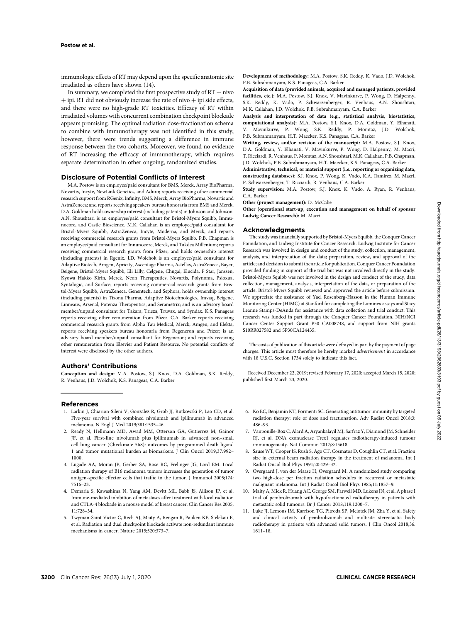immunologic effects of RT may depend upon the specific anatomic site irradiated as others have shown (14).

In summary, we completed the first prospective study of  $RT + niv$  $+$  ipi. RT did not obviously increase the rate of nivo  $+$  ipi side effects, and there were no high-grade RT toxicities. Efficacy of RT within irradiated volumes with concurrent combination checkpoint blockade appears promising. The optimal radiation dose-fractionation schema to combine with immunotherapy was not identified in this study; however, there were trends suggesting a difference in immune response between the two cohorts. Moreover, we found no evidence of RT increasing the efficacy of immunotherapy, which requires separate determination in other ongoing, randomized studies.

#### Disclosure of Potential Conflicts of Interest

M.A. Postow is an employee/paid consultant for BMS, Merck, Array BioPharma, Novartis, Incyte, NewLink Genetics, and Aduro; reports receiving other commercial research support from RGenix, Infinity, BMS, Merck, Array BioPharma, Novartis and AstraZeneca; and reports receiving speakers bureau honoraria from BMS and Merck. D.A. Goldman holds ownership interest (including patents) in Johnson and Johnson. A.N. Shoushtari is an employee/paid consultant for Bristol-Myers Squibb, Immunocore, and Castle Bioscience. M.K. Callahan is an employee/paid consultant for Bristol-Myers Squibb, AstraZeneca, Incyte, Moderna, and Merck, and reports receiving commercial research grants from Bristol-Myers Squibb. P.B. Chapman is an employee/paid consultant for Innunocore, Merck, and Takdea Millenium; reports receiving commercial research grants from Pfizer; and holds ownership interest (including patents) in Rgenix. J.D. Wolchok is an employee/paid consultant for Adaptive Biotech, Amgen, Apricity, Ascentage Pharma, Astellas, AstraZeneca, Bayer, Beigene, Bristol-Myers Squibb, Eli Lilly, Celgene, Chugai, Elucida, F Star, Janssen, Kyowa Hakko Kirin, Merck, Neon Therapeutics, Novartis, Polynoma, Psioxua, Syntalogic, and Surface; reports receiving commercial research grants from Bristol-Myers Squibb, AstraZeneca, Genentech, and Sephora; holds ownership interest (including patents) in Tizona Pharma, Adaptive Biotechnologies, Imvaq, Beigene, Linneaus, Arsenal, Potenza Therapeutics, and Serametrix; and is an advisory board member/unpaid consultant for Takara, Trieza, Truvax, and Syndax. K.S. Panageas reports receiving other remuneration from Pfizer. C.A. Barker reports receiving commercial research grants from Alpha Tau Medical, Merck, Amgen, and Elekta; reports receiving speakers bureau honoraria from Regeneron and Pfizer; is an advisory board member/unpaid consultant for Regeneron; and reports receiving other remuneration from Elsevier and Patient Resource. No potential conflicts of interest were disclosed by the other authors.

## Authors' Contributions

Conception and design: M.A. Postow, S.J. Knox, D.A. Goldman, S.K. Reddy, R. Venhaus, J.D. Wolchok, K.S. Panageas, C.A. Barker

References

- 1. Larkin J, Chiarion-Sileni V, Gonzalez R, Grob JJ, Rutkowski P, Lao CD, et al. Five-year survival with combined nivolumab and ipilimumab in advanced melanoma. N Engl J Med 2019;381:1535–46.
- 2. Ready N, Hellmann MD, Awad MM, Otterson GA, Gutierrez M, Gainor JF, et al. First-line nivolumab plus ipilimumab in advanced non–small cell lung cancer (Checkmate 568): outcomes by programmed death ligand 1 and tumor mutational burden as biomarkers. J Clin Oncol 2019;37:992– 1000.
- 3. Lugade AA, Moran JP, Gerber SA, Rose RC, Frelinger JG, Lord EM. Local radiation therapy of B16 melanoma tumors increases the generation of tumor antigen-specific effector cells that traffic to the tumor. J Immunol 2005;174: 7516–23.
- 4. Demaria S, Kawashima N, Yang AM, Devitt ML, Babb JS, Allison JP, et al. Immune-mediated inhibition of metastases after treatment with local radiation and CTLA-4 blockade in a mouse model of breast cancer. Clin Cancer Res 2005; 11:728–34.
- 5. Twyman-Saint Victor C, Rech AJ, Maity A, Rengan R, Pauken KE, Stelekati E, et al. Radiation and dual checkpoint blockade activate non-redundant immune mechanisms in cancer. Nature 2015;520:373–7.

Development of methodology: M.A. Postow, S.K. Reddy, K. Vado, J.D. Wolchok, P.B. Subrahmanyam, K.S. Panageas, C.A. Barker

Acquisition of data (provided animals, acquired and managed patients, provided facilities, etc.): M.A. Postow, S.J. Knox, V. Mavinkurve, P. Wong, D. Halpenny, S.K. Reddy, K. Vado, P. Schwarzenberger, R. Venhaus, A.N. Shoushtari, M.K. Callahan, J.D. Wolchok, P.B. Subrahmanyam, C.A. Barker

Analysis and interpretation of data (e.g., statistical analysis, biostatistics, computational analysis): M.A. Postow, S.J. Knox, D.A. Goldman, Y. Elhanati, V. Mavinkurve, P. Wong, S.K. Reddy, P. Momtaz, J.D. Wolchok, P.B. Subrahmanyam, H.T. Maecker, K.S. Panageas, C.A. Barker

Writing, review, and/or revision of the manuscript: M.A. Postow, S.J. Knox, D.A. Goldman, Y. Elhanati, V. Mavinkurve, P. Wong, D. Halpenny, M. Macri, T. Ricciardi, R. Venhaus, P. Momtaz, A.N. Shoushtari, M.K. Callahan, P.B. Chapman, J.D. Wolchok, P.B. Subrahmanyam, H.T. Maecker, K.S. Panageas, C.A. Barker

Administrative, technical, or material support (i.e., reporting or organizing data, constructing databases): S.J. Knox, P. Wong, K. Vado, K.A. Ramirez, M. Macri, P. Schwarzenberger, T. Ricciardi, R. Venhaus, C.A. Barker

Study supervision: M.A. Postow, S.J. Knox, K. Vado, A. Ryan, R. Venhaus, C.A. Barker

Other (project management): D. McCabe

Other (operational start-up, execution and management on behalf of sponsor Ludwig Cancer Research): M. Macri

#### Acknowledgments

The study was financially supported by Bristol-Myers Squibb, the Conquer Cancer Foundation, and Ludwig Institute for Cancer Research. Ludwig Institute for Cancer Research was involved in design and conduct of the study; collection, management, analysis, and interpretation of the data; preparation, review, and approval of the article; and decision to submit the article for publication. Conquer Cancer Foundation provided funding in support of the trial but was not involved directly in the study. Bristol-Myers Squibb was not involved in the design and conduct of the study, data collection, management, analysis, interpretation of the data, or preparation of the article. Bristol-Myers Squibb reviewed and approved the article before submission. We appreciate the assistance of Yael Rosenberg-Hasson in the Human Immune Monitoring Center (HIMC) at Stanford for completing the Luminex assays and Stacy Leanne Stamps-DeAnda for assistance with data collection and trial conduct. This research was funded in part through the Conquer Cancer Foundation, NIH/NCI Cancer Center Support Grant P30 CA008748, and support from NIH grants S10RR027582 and 5P30CA124435.

The costs of publication of this article were defrayed in part by the payment of page charges. This article must therefore be hereby marked advertisement in accordance with 18 U.S.C. Section 1734 solely to indicate this fact.

Received December 22, 2019; revised February 17, 2020; accepted March 15, 2020; published first March 23, 2020.

- 6. Ko EC, Benjamin KT, Formenti SC. Generating antitumor immunity by targeted radiation therapy: role of dose and fractionation. Adv Radiat Oncol 2018;3: 486–93.
- 7. Vanpouille-Box C, Alard A, Aryankalayil MJ, Sarfraz Y, Diamond JM, Schneider RJ, et al. DNA exonuclease Trex1 regulates radiotherapy-induced tumour immunogenicity. Nat Commun 2017;8:15618.
- 8. Sause WT, Cooper JS, Rush S, Ago CT, Cosmatos D, Coughlin CT, et al. Fraction size in external beam radiation therapy in the treatment of melanoma. Int J Radiat Oncol Biol Phys 1991;20:429–32.
- 9. Overgaard J, von der Maase H, Overgaard M. A randomized study comparing two high-dose per fraction radiation schedules in recurrent or metastatic malignant melanoma. Int J Radiat Oncol Biol Phys 1985;11:1837–9.
- 10. Maity A, Mick R, Huang AC, George SM, Farwell MD, Lukens JN, et al. A phase I trial of pembrolizumab with hypofractionated radiotherapy in patients with metastatic solid tumours. Br J Cancer 2018;119:1200–7.
- 11. Luke JJ, Lemons JM, Karrison TG, Pitroda SP, Melotek JM, Zha Y, et al. Safety and clinical activity of pembrolizumab and multisite stereotactic body radiotherapy in patients with advanced solid tumors. J Clin Oncol 2018;36: 1611–18.